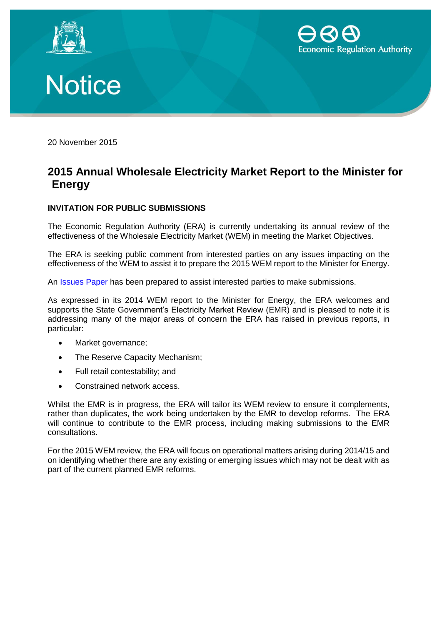





20 November 2015

## **2015 Annual Wholesale Electricity Market Report to the Minister for Energy**

## **INVITATION FOR PUBLIC SUBMISSIONS**

The Economic Regulation Authority (ERA) is currently undertaking its annual review of the effectiveness of the Wholesale Electricity Market (WEM) in meeting the Market Objectives.

The ERA is seeking public comment from interested parties on any issues impacting on the effectiveness of the WEM to assist it to prepare the 2015 WEM report to the Minister for Energy.

An [Issues Paper](https://www.erawa.com.au/electricity/wholesale-electricity-market/annual-report-to-the-minister/2015-ministers-report) has been prepared to assist interested parties to make submissions.

As expressed in its 2014 WEM report to the Minister for Energy, the ERA welcomes and supports the State Government's Electricity Market Review (EMR) and is pleased to note it is addressing many of the major areas of concern the ERA has raised in previous reports, in particular:

- Market governance;
- The Reserve Capacity Mechanism;
- Full retail contestability; and
- Constrained network access.

Whilst the EMR is in progress, the ERA will tailor its WEM review to ensure it complements, rather than duplicates, the work being undertaken by the EMR to develop reforms. The ERA will continue to contribute to the EMR process, including making submissions to the EMR consultations.

For the 2015 WEM review, the ERA will focus on operational matters arising during 2014/15 and on identifying whether there are any existing or emerging issues which may not be dealt with as part of the current planned EMR reforms.